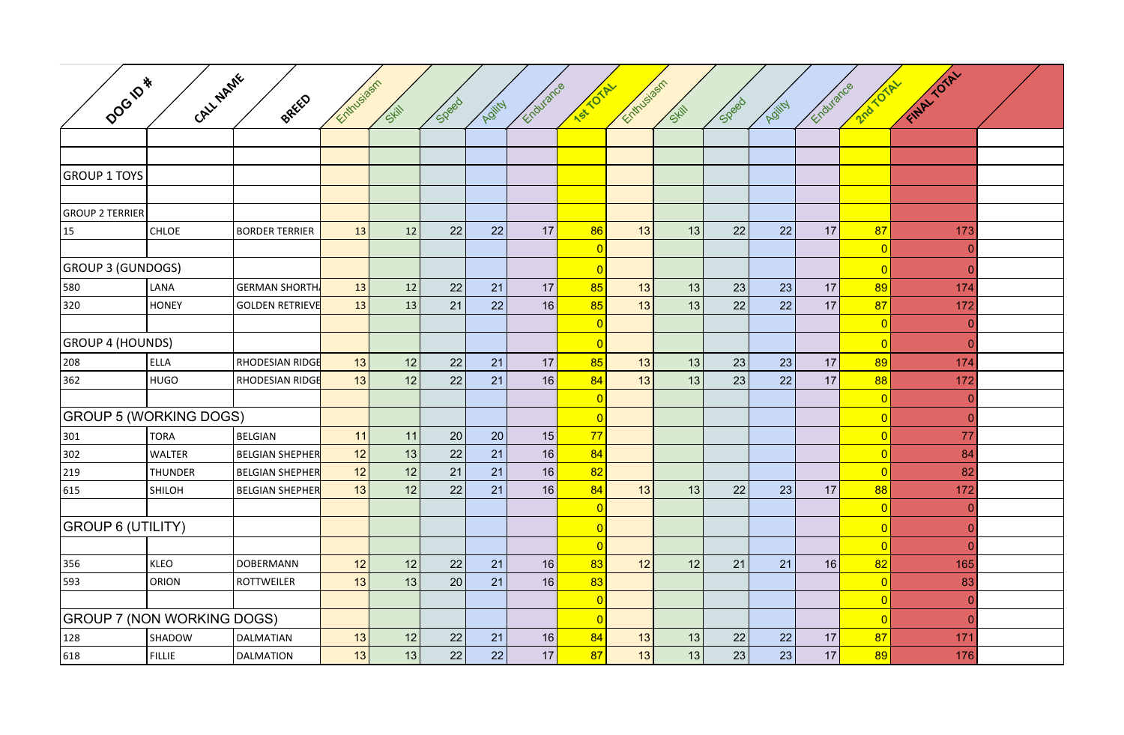| DOGIPA                            | CALL NAME      | BREED                  | Entrysiasm |       |       |        | Endurance      | ISLOTAL        | Entrusiasm |       |       |        | Endurance      | 2nd TOTAL      | Final Toral    |  |
|-----------------------------------|----------------|------------------------|------------|-------|-------|--------|----------------|----------------|------------|-------|-------|--------|----------------|----------------|----------------|--|
|                                   |                |                        |            | Skill | Speed | Agjity |                |                |            | Skill | Speed | Agjity |                |                |                |  |
|                                   |                |                        |            |       |       |        |                |                |            |       |       |        |                |                |                |  |
|                                   |                |                        |            |       |       |        |                |                |            |       |       |        |                |                |                |  |
| <b>GROUP 1 TOYS</b>               |                |                        |            |       |       |        |                |                |            |       |       |        |                |                |                |  |
|                                   |                |                        |            |       |       |        |                |                |            |       |       |        |                |                |                |  |
| <b>GROUP 2 TERRIER</b>            |                |                        |            |       |       |        |                |                |            |       |       |        |                |                |                |  |
| 15                                | CHLOE          | <b>BORDER TERRIER</b>  | 13         | 12    | 22    | 22     | 17             | 86             | 13         | 13    | 22    | 22     | 17             | 87             | 173            |  |
|                                   |                |                        |            |       |       |        |                | $\overline{0}$ |            |       |       |        |                | $\overline{0}$ | $\overline{0}$ |  |
| <b>GROUP 3 (GUNDOGS)</b>          |                |                        |            |       |       |        | $\overline{0}$ |                |            |       |       |        | $\overline{0}$ | $\overline{0}$ |                |  |
| 580                               | LANA           | <b>GERMAN SHORTH</b>   | 13         | 12    | 22    | 21     | 17             | 85             | 13         | 13    | 23    | 23     | 17             | 89             | 174            |  |
| 320                               | <b>HONEY</b>   | GOLDEN RETRIEVE        | 13         | 13    | 21    | 22     | 16             | 85             | 13         | 13    | 22    | 22     | 17             | 87             | 172            |  |
|                                   |                |                        |            |       |       |        |                | $\overline{0}$ |            |       |       |        |                | $\overline{0}$ | $\overline{0}$ |  |
| <b>GROUP 4 (HOUNDS)</b>           |                |                        |            |       |       |        | $\overline{0}$ |                |            |       |       |        | $\overline{0}$ | $\overline{0}$ |                |  |
| 208                               | <b>ELLA</b>    | <b>RHODESIAN RIDGE</b> | 13         | 12    | 22    | 21     | 17             | 85             | 13         | 13    | 23    | 23     | 17             | 89             | 174            |  |
| 362                               | <b>HUGO</b>    | RHODESIAN RIDGE        | 13         | 12    | 22    | 21     | 16             | 84             | 13         | 13    | 23    | 22     | 17             | 88             | 172            |  |
|                                   |                |                        |            |       |       |        |                | $\overline{0}$ |            |       |       |        |                | $\overline{0}$ | $\overline{0}$ |  |
| <b>GROUP 5 (WORKING DOGS)</b>     |                |                        |            |       |       |        | $\overline{0}$ |                |            |       |       |        | $\overline{0}$ | $\overline{0}$ |                |  |
| 301                               | <b>TORA</b>    | BELGIAN                | 11         | 11    | 20    | 20     | 15             | 77             |            |       |       |        |                | $\overline{0}$ | 77             |  |
| 302                               | <b>WALTER</b>  | <b>BELGIAN SHEPHER</b> | 12         | 13    | 22    | 21     | 16             | 84             |            |       |       |        |                | $\overline{0}$ | 84             |  |
| 219                               | <b>THUNDER</b> | <b>BELGIAN SHEPHER</b> | 12         | 12    | 21    | 21     | 16             | 82             |            |       |       |        |                | $\overline{0}$ | 82             |  |
| 615                               | SHILOH         | BELGIAN SHEPHER        | 13         | 12    | 22    | 21     | 16             | 84             | 13         | 13    | 22    | 23     | 17             | 88             | 172            |  |
|                                   |                |                        |            |       |       |        |                | $\overline{0}$ |            |       |       |        |                | $\overline{0}$ | $\overline{0}$ |  |
| <b>GROUP 6 (UTILITY)</b>          |                |                        |            |       |       |        | $\overline{0}$ |                |            |       |       |        | $\overline{0}$ | $\overline{0}$ |                |  |
|                                   |                |                        |            |       |       |        |                | $\overline{0}$ |            |       |       |        |                | $\overline{0}$ | $\overline{0}$ |  |
| 356                               | KLEO           | <b>DOBERMANN</b>       | 12         | 12    | 22    | 21     | 16             | 83             | 12         | 12    | 21    | 21     | 16             | 82             | 165            |  |
| 593                               | ORION          | <b>ROTTWEILER</b>      | 13         | 13    | 20    | 21     | 16             | 83             |            |       |       |        |                | $\overline{0}$ | 83             |  |
|                                   |                |                        |            |       |       |        |                | $\overline{0}$ |            |       |       |        |                | $\overline{0}$ | $\overline{0}$ |  |
| <b>GROUP 7 (NON WORKING DOGS)</b> |                |                        |            |       |       |        |                | $\overline{0}$ |            |       |       |        |                | $\overline{0}$ | $\overline{0}$ |  |
| 128                               | SHADOW         | DALMATIAN              | 13         | 12    | 22    | 21     | 16             | 84             | 13         | 13    | 22    | 22     | 17             | 87             | 171            |  |
| 618                               | <b>FILLIE</b>  | DALMATION              | 13         | 13    | 22    | 22     | 17             | 87             | 13         | 13    | 23    | 23     | 17             | 89             | 176            |  |